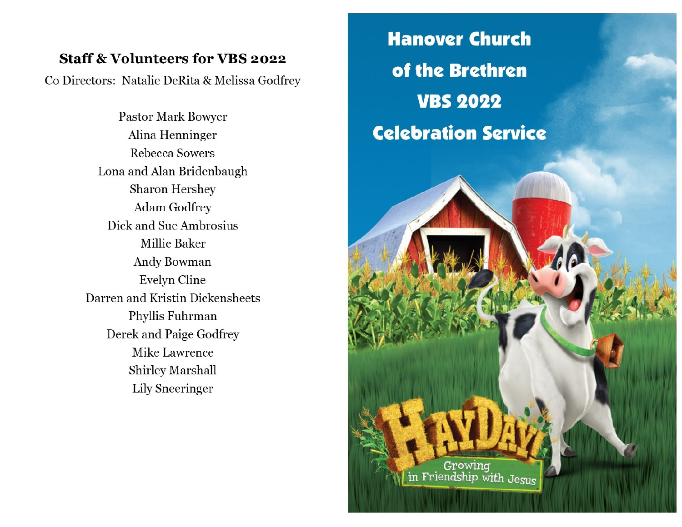# **Staff & Volunteers for VBS 2022**

Co Directors: Natalie DeRita & Melissa Godfrey

Pastor Mark Bowyer Alina Henninger Rebecca Sowers Lona and Alan Bridenbaugh Sharon Hershey Adam Godfrey Dick and Sue Ambrosius Millie Baker Andy Bowman Evelyn Cline Darren and Kristin Dickensheets Phyllis Fuhrman Derek and Paige Godfrey **Mike Lawrence Shirley Marshall** Lily Sneeringer

**Hanover Church** of the Brethren **VBS 2022 Celebration Service** Growing<br>in Friendship with Jesus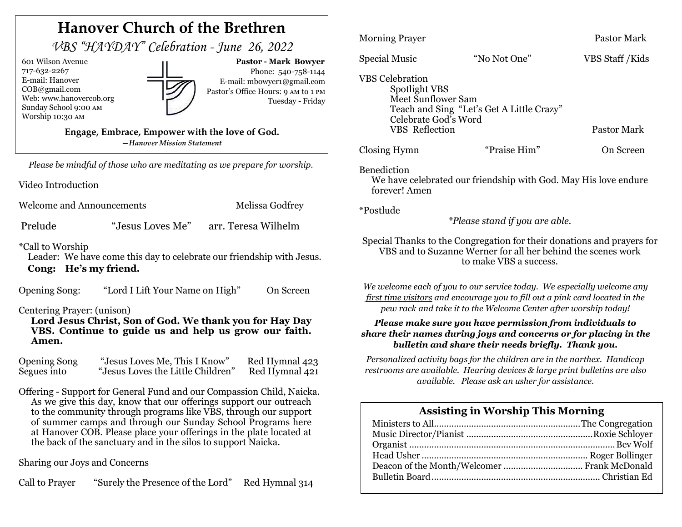| <b>Hanover Church of the Brethren</b>                                                                                                                                                                                                                                                                                                                                                                                                                 |                                                                                                                                                                                                                           |                                                                                                                                                                                    |
|-------------------------------------------------------------------------------------------------------------------------------------------------------------------------------------------------------------------------------------------------------------------------------------------------------------------------------------------------------------------------------------------------------------------------------------------------------|---------------------------------------------------------------------------------------------------------------------------------------------------------------------------------------------------------------------------|------------------------------------------------------------------------------------------------------------------------------------------------------------------------------------|
| VBS "HAYDAY" Celebration - June 26, 2022                                                                                                                                                                                                                                                                                                                                                                                                              | <b>Morning Prayer</b>                                                                                                                                                                                                     | Pastor Mark                                                                                                                                                                        |
| 601 Wilson Avenue<br>Pastor - Mark Bowyer<br>717-632-2267<br>Phone: 540-758-1144<br>E-mail: Hanover<br>E-mail: mbowyer1@gmail.com<br>COB@gmail.com<br>Pastor's Office Hours: 9 AM to 1 PM<br>Web: www.hanovercob.org<br>Tuesday - Friday                                                                                                                                                                                                              | <b>Special Music</b><br><b>VBS</b> Celebration<br>Spotlight VBS<br>Meet Sunflower Sam                                                                                                                                     | "No Not One"<br>VBS Staff / Kids                                                                                                                                                   |
| Sunday School 9:00 AM<br>Worship 10:30 AM<br>Engage, Embrace, Empower with the love of God.<br>-Hanover Mission Statement                                                                                                                                                                                                                                                                                                                             | Teach and Sing "Let's Get A Little Crazy"<br>Celebrate God's Word<br><b>VBS</b> Reflection<br>Closing Hymn                                                                                                                | Pastor Mark<br>"Praise Him"<br>On Screen                                                                                                                                           |
| Please be mindful of those who are meditating as we prepare for worship.<br>Video Introduction                                                                                                                                                                                                                                                                                                                                                        | Benediction<br>forever! Amen                                                                                                                                                                                              | We have celebrated our friendship with God. May His love endure                                                                                                                    |
| <b>Welcome and Announcements</b><br>Melissa Godfrey<br>"Jesus Loves Me"<br>arr. Teresa Wilhelm<br>Prelude                                                                                                                                                                                                                                                                                                                                             | *Postlude<br>*Please stand if you are able.                                                                                                                                                                               |                                                                                                                                                                                    |
| <i>*Call to Worship</i><br>Leader: We have come this day to celebrate our friendship with Jesus.<br>Cong: He's my friend.                                                                                                                                                                                                                                                                                                                             | Special Thanks to the Congregation for their donations and prayers for<br>VBS and to Suzanne Werner for all her behind the scenes work<br>to make VBS a success.                                                          |                                                                                                                                                                                    |
| "Lord I Lift Your Name on High"<br>On Screen<br><b>Opening Song:</b><br>Centering Prayer: (unison)                                                                                                                                                                                                                                                                                                                                                    | We welcome each of you to our service today. We especially welcome any<br>first time visitors and encourage you to fill out a pink card located in the<br>pew rack and take it to the Welcome Center after worship today! |                                                                                                                                                                                    |
| Lord Jesus Christ, Son of God. We thank you for Hay Day<br>VBS. Continue to guide us and help us grow our faith.<br>Amen.                                                                                                                                                                                                                                                                                                                             |                                                                                                                                                                                                                           | Please make sure you have permission from individuals to<br>share their names during joys and concerns or for placing in the<br>bulletin and share their needs briefly. Thank you. |
| <b>Opening Song</b><br>"Jesus Loves Me, This I Know"<br>Red Hymnal 423<br>"Jesus Loves the Little Children"<br>Red Hymnal 421<br>Segues into                                                                                                                                                                                                                                                                                                          | Personalized activity bags for the children are in the narthex. Handicap<br>restrooms are available. Hearing devices & large print bulletins are also<br>available. Please ask an usher for assistance.                   |                                                                                                                                                                                    |
| Offering - Support for General Fund and our Compassion Child, Naicka.<br>As we give this day, know that our offerings support our outreach<br>to the community through programs like VBS, through our support<br>of summer camps and through our Sunday School Programs here<br>at Hanover COB. Please place your offerings in the plate located at<br>the back of the sanctuary and in the silos to support Naicka.<br>Sharing our Joys and Concerns |                                                                                                                                                                                                                           | <b>Assisting in Worship This Morning</b><br>Deacon of the Month/Welcomer  Frank McDonald                                                                                           |

Call to Prayer "Surely the Presence of the Lord" Red Hymnal 314